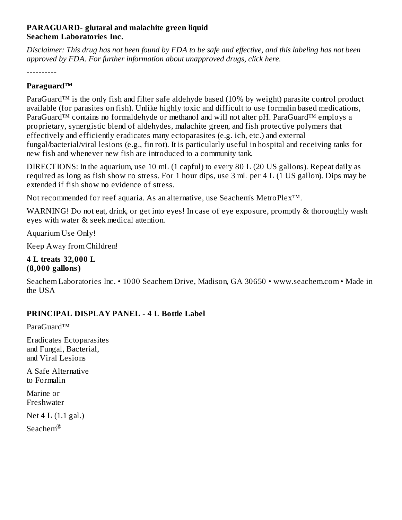### **PARAGUARD- glutaral and malachite green liquid Seachem Laboratories Inc.**

Disclaimer: This drug has not been found by FDA to be safe and effective, and this labeling has not been *approved by FDA. For further information about unapproved drugs, click here.*

----------

### **Paraguard™**

ParaGuard™ is the only fish and filter safe aldehyde based (10% by weight) parasite control product available (for parasites on fish). Unlike highly toxic and difficult to use formalin based medications, ParaGuard™ contains no formaldehyde or methanol and will not alter pH. ParaGuard™ employs a proprietary, synergistic blend of aldehydes, malachite green, and fish protective polymers that effectively and efficiently eradicates many ectoparasites (e.g. ich, etc.) and external fungal/bacterial/viral lesions (e.g., fin rot). It is particularly useful in hospital and receiving tanks for new fish and whenever new fish are introduced to a community tank.

DIRECTIONS: In the aquarium, use 10 mL (1 capful) to every 80 L (20 US gallons). Repeat daily as required as long as fish show no stress. For 1 hour dips, use 3 mL per 4 L (1 US gallon). Dips may be extended if fish show no evidence of stress.

Not recommended for reef aquaria. As an alternative, use Seachem's MetroPlex™.

WARNING! Do not eat, drink, or get into eyes! In case of eye exposure, promptly & thoroughly wash eyes with water & seek medical attention.

Aquarium Use Only!

Keep Away from Children!

#### **4 L treats 32,000 L (8,000 gallons)**

Seachem Laboratories Inc. • 1000 Seachem Drive, Madison, GA 30650 • www.seachem.com • Made in the USA

## **PRINCIPAL DISPLAY PANEL - 4 L Bottle Label**

ParaGuard™

Eradicates Ectoparasites and Fungal, Bacterial, and Viral Lesions

A Safe Alternative to Formalin

Marine or Freshwater

Net 4 L (1.1 gal.)

Seachem $^{\circledR}$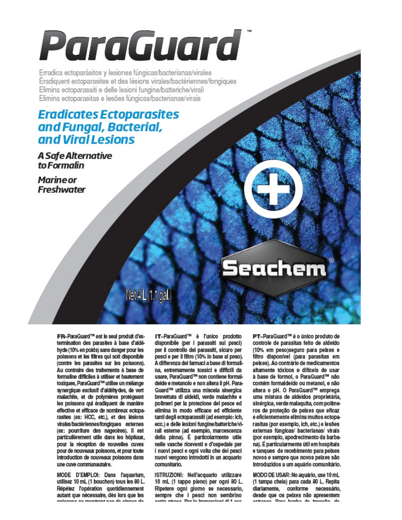# ParaGuardi

Erradica ectoparásitos y lesiones fúngicas/bacterianas/virales Éradiquent ectoparasites et des lésions virales/bactériennes/fongiques Elimina ectoparassiti e delle lesioni fungine/batteriche/virali Elimina ectoparasitas e lesões fúngicas/bacterianas/virais

## **Eradicates Ectoparasites** and Fungal, Bacterial, and Viral Lesions

## A Safe Alternative to Formalin

**Marine or Freshwater** 

## Net 4L(1.1 gal.)

FR-ParaGuard<sup>TM</sup> est le seul produit d'extermination des parasites à base d'aldéhyde (10% en poids) sans danger pour les poissons et les filtres qui soit disponible (contre les parasites sur les poissons). Au contraire des traitements à base de formaline difficiles à utiliser et hautement toxiques, ParaGuard™ utilise un mélange synergique exclusif d'aldéhydes, de vert malachite, et de polymères protégeant les poissons qui éradiquent de manière effective et efficace de nombreux ectoparasites (ex: HCC, etc.), et des lésions virales/bactériennes/fongiques externes (ex: pourriture des nageoires). Il est particulièrement utile dans les hôpitaux, pour la réception de nouvelles cuves pour de nouveaux poissons, et pour toute introduction de nouveaux poissons dans une cuve communautaire.

MODE D'EMPLOI: Dans l'aquarium. utilisez 10 mL (1 bouchon) tous les 80 L. Répétez l'opération quotidiennement autant que nécessaire, dès lors que les ngigaana na mankant naa da aignaa da

IT-ParaGuard<sup>TH</sup> è l'unico prodotto disponibile (per i parassiti sui pesci) per il controllo dei parassiti, sicuro per pesci e per il filtro (10% in base al peso). À differenza dei farmaci a base di formalina, estremamente tossici e difficili da usare. ParaGuard™ non contiene formaldeide e metanolo e non altera il pH. Para-Guard™ utilizza una miscela sinergica brevettata di aldeidi, verde malachite e polimeri per la protezione del pesce ed elimina in modo efficace ed efficiente tanti degli ectoparassiti (ad esempio: ich, ecc.) e delle lesioni fungine/batteriche/virali esterne (ad esempio, marcescenza della pinna). È particolarmente utile nelle vasche riceventi e d'ospedale per i nuovi pesci e ogni volta che dei pesci nuovi vengono introdotti in un acquario comunitario.

ISTRUZIONI: Nell'acquario utilizzare 10 mL (1 tappo pieno) per ogni 80 L. Ripetere ogni giorno se necessario, sempre che i pesci non sembrino cotto circo o Dor la immerciani di 1 cm

PT-ParaGuard™ é o único produto de controle de parasitas feito de aldeído (10% em peso)seguro para peixes e filtro disponível (para parasitas em peixes). Ao contrário de medicamentos altamente tóxicos e difíceis de usar à base de formol, o ParaGuard™ não contém formaldeído ou metanol, e não altera o pH. O ParaGuard™ emprega uma mistura de aldeídos proprietária, sinérgica, verde malaquita, com polímeros de proteção de peixes que eficaz e eficientemente elimina muitos ectoparasitas (por exemplo, ich, etc.) e lesões externas fúngicas/ bacterianas/ virais (por exemplo, apodrecimento da barbana). É particularmente útil em hospitais e tanques de recebimento para peixes novos e sempre que novos peixes são introduzidos a um aquário comunitário.

Seachem®

MODO DE USAR: No aquário, use 10 mL (1 tampa cheia) para cada 80 L. Repita diariamente, conforme necessário, desde que os peixes não apresentem sekseen Darn hanha da imareão da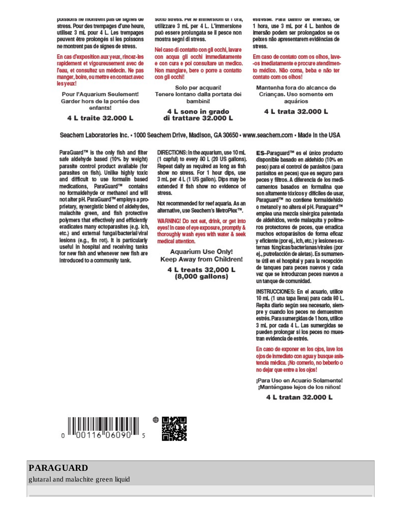poissons ne montrent pas de signes de stress. Pour des trempages d'une heure, utilisez 3 mL pour 4 L. Les trempages peuvent être prolongés si les poissons ne montrent pas de signes de stress.

En cas d'exposition aux yeux, rincez-les rapidement et vigoureusement avec de l'eau, et consultez un médecin. Ne pas manger, boire, ou mettre en contact avec lesyeux!

Pour l'Aquarium Seulement! Garder hors de la portée des enfants!

4 L traite 32,000 L

sotto stress, Per le immersioni di 1 ora, utilizzare 3 mL per 4 L. L'immersione può essere prolungata se il pesce non mostra segni di stress.

Nel caso di contatto con gli occhi, lavare con acqua gli occhi immediatamente e con cura e poi consultare un medico. Non mangiare, bere o porre a contatto con gli occhi!

Solo per acquari! Tenere lontano dalla portata dei bambini!

4 L sono in grado di trattare 32.000 L esuesse, rara panno de imersao, de 1 hora, use 3 mL por 4 L. banhos de imersão podem ser prolongados se os peixes não apresentarem evidências de **SPATE** 

Em caso de contato com os olhos, lave--os imediatamente e procure atendimento médico. Não coma, beba e não ter contato com os olhos!

Mantenha fora do alcance de Crianças. Uso somente em aquários

4 L trata 32.000 L

Seachem Laboratories inc. • 1000 Seachem Drive. Madison. GA 30650 • www.seachem.com • Made in the USA

ParaGuard™ is the only fish and filter safe aldehyde based (10% by weight) parasite control product available (for parasites on fish). Unlike highly toxic and difficult to use formalin based medications. ParaGuard™ contains no formaldehyde or methanol and will not alter pH. ParaGuard™ employs a proprietary, synergistic blend of aldehydes, malachite green, and fish protective polymers that effectively and efficiently eradicates many ectoparasites (e.g. ich, etc.) and external fungal/bacterial/viral lesions (e.g., fin rot). It is particularly useful in hospital and receiving tanks for new fish and whenever new fish are introduced to a community tank.

DIRECTIONS: In the aquarium, use 10 mL (1 capful) to every 80 L (20 US gallons). Repeat daily as required as long as fish show no stress. For 1 hour dips, use 3 mL per 4 L (1 US gallon). Dips may be extended if fish show no evidence of stress

Not recommended for reef aquaria. As an alternative, use Seachem's MetroPlex™.

WARNING! Do not eat, drink, or get into eyes! In case of eye exposure, promptly & thoroughly wash eyes with water & seek medical attention.

**Aquarium Use Only! Keep Away from Children!** 

4 L treats 32,000 L  $(8,000$  gallons)

ES-Paraquard™ es el único producto disponible basado en aldehído (10% en peso) para el control de parásitos (para parásitos en peces) que es seguro para peces y filtros. A diferencia de los medicamentos basados en formalina que son altamente tóxicos y difíciles de usar, Paraguard™ no contiene formaldehído o metanol y no altera el pH. Paraguard™ emplea una mezcla sinérgica patentada de aldehidos, verde malaquita y polímeros protectores de peces, que erradica muchos ectoparásitos de forma eficaz y eficiente (por ej., ich, etc.) y lesiones externas fúngicas/bacterianas/virales (por ej., putrefacción de aletas). Es sumamente útil en el hospital y para la recepción de tanques para peces nuevos y cada vez que se introduzcan peces nuevos a un tanque de comunidad.

INSTRUCCIONES: En el acuario, utilice 10 mL (1 una tapa llena) para cada 80 L. Repita diario según sea necesario, siempre y cuando los peces no demuestren estrés. Para sumergidas de 1 hora, utilice 3 mL por cada 4 L. Las sumergidas se pueden prolongar si los peces no muestran evidencia de estrés.

En caso de exponer en los ojos, lave los ojos de inmediato con agua y busque asistencia médica. ¡No comerlo, no beberlo o no dejar que entre a los ojos!

¡Para Uso en Acuario Solamente! ¡Manténgase lejos de los niños!

4 L tratan 32,000 L





glutaral and malachite green liquid